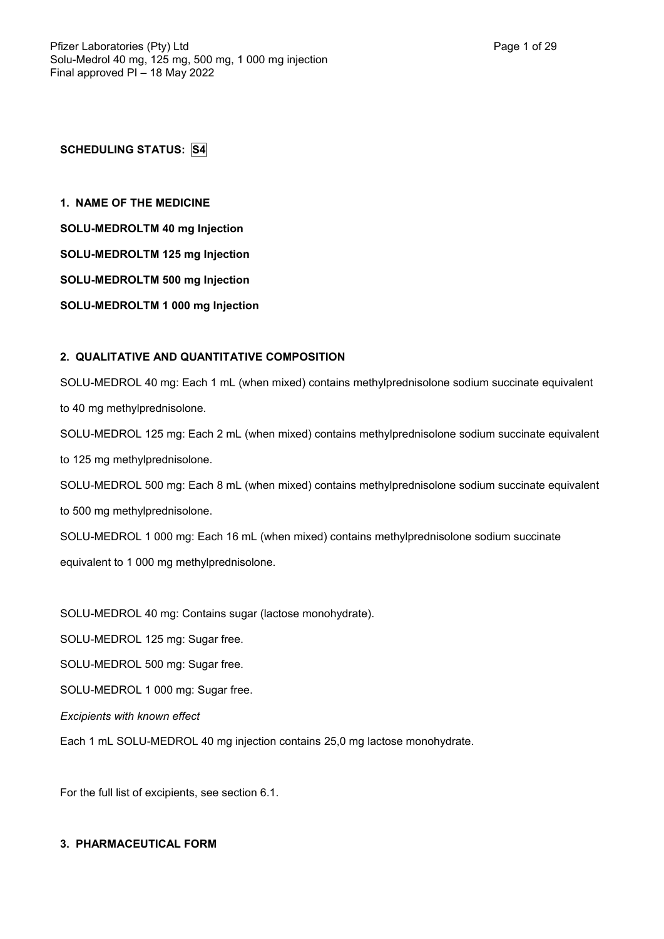**SCHEDULING STATUS: S4**

**1. NAME OF THE MEDICINE**

**SOLU-MEDROLTM 40 mg Injection**

**SOLU-MEDROLTM 125 mg Injection**

**SOLU-MEDROLTM 500 mg Injection**

**SOLU-MEDROLTM 1 000 mg Injection**

# **2. QUALITATIVE AND QUANTITATIVE COMPOSITION**

SOLU-MEDROL 40 mg: Each 1 mL (when mixed) contains methylprednisolone sodium succinate equivalent to 40 mg methylprednisolone. SOLU-MEDROL 125 mg: Each 2 mL (when mixed) contains methylprednisolone sodium succinate equivalent

to 125 mg methylprednisolone.

SOLU-MEDROL 500 mg: Each 8 mL (when mixed) contains methylprednisolone sodium succinate equivalent to 500 mg methylprednisolone.

SOLU-MEDROL 1 000 mg: Each 16 mL (when mixed) contains methylprednisolone sodium succinate equivalent to 1 000 mg methylprednisolone.

SOLU-MEDROL 40 mg: Contains sugar (lactose monohydrate).

SOLU-MEDROL 125 mg: Sugar free.

SOLU-MEDROL 500 mg: Sugar free.

SOLU-MEDROL 1 000 mg: Sugar free.

*Excipients with known effect*

Each 1 mL SOLU-MEDROL 40 mg injection contains 25,0 mg lactose monohydrate.

For the full list of excipients, see section 6.1.

# **3. PHARMACEUTICAL FORM**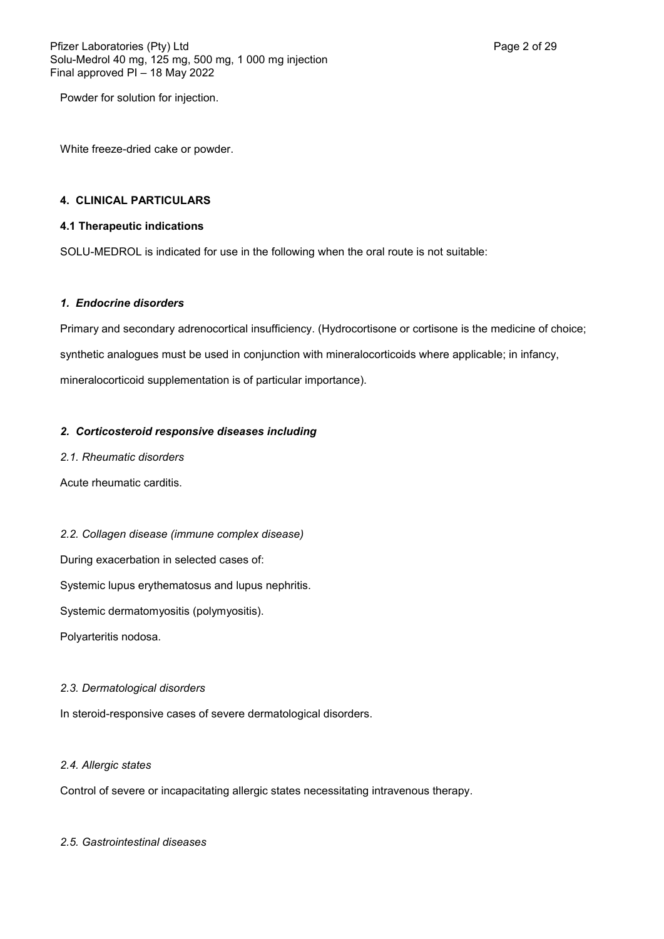Powder for solution for injection.

White freeze-dried cake or powder.

# **4. CLINICAL PARTICULARS**

# **4.1 Therapeutic indications**

SOLU-MEDROL is indicated for use in the following when the oral route is not suitable:

#### *1. Endocrine disorders*

Primary and secondary adrenocortical insufficiency. (Hydrocortisone or cortisone is the medicine of choice; synthetic analogues must be used in conjunction with mineralocorticoids where applicable; in infancy, mineralocorticoid supplementation is of particular importance).

## *2. Corticosteroid responsive diseases including*

*2.1. Rheumatic disorders*

Acute rheumatic carditis.

# *2.2. Collagen disease (immune complex disease)*

During exacerbation in selected cases of:

Systemic lupus erythematosus and lupus nephritis.

Systemic dermatomyositis (polymyositis).

Polyarteritis nodosa.

#### *2.3. Dermatological disorders*

In steroid-responsive cases of severe dermatological disorders.

#### *2.4. Allergic states*

Control of severe or incapacitating allergic states necessitating intravenous therapy.

#### *2.5. Gastrointestinal diseases*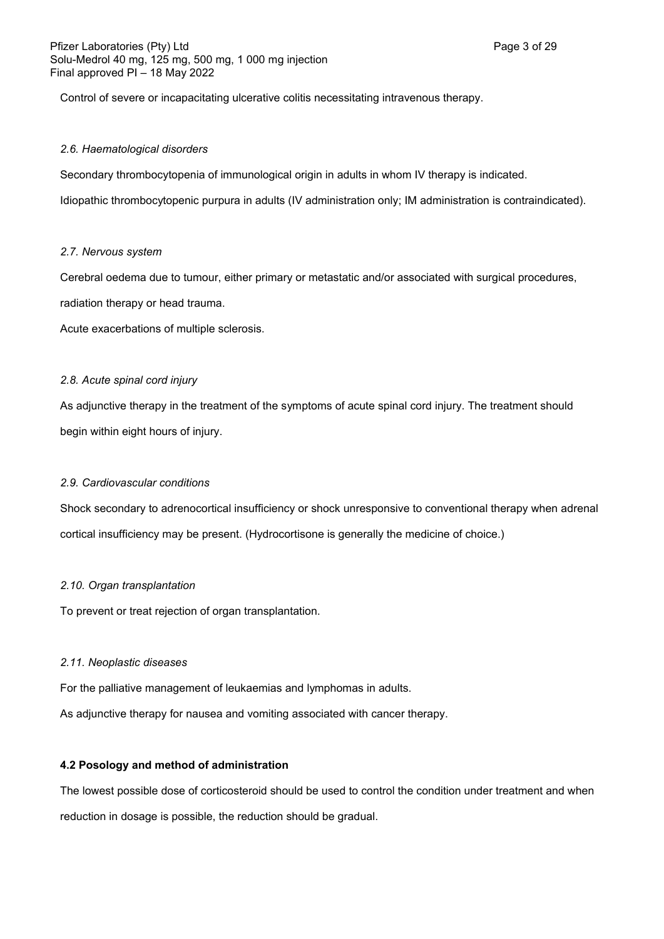Control of severe or incapacitating ulcerative colitis necessitating intravenous therapy.

## *2.6. Haematological disorders*

Secondary thrombocytopenia of immunological origin in adults in whom IV therapy is indicated.

Idiopathic thrombocytopenic purpura in adults (IV administration only; IM administration is contraindicated).

## *2.7. Nervous system*

Cerebral oedema due to tumour, either primary or metastatic and/or associated with surgical procedures, radiation therapy or head trauma.

Acute exacerbations of multiple sclerosis.

## *2.8. Acute spinal cord injury*

As adjunctive therapy in the treatment of the symptoms of acute spinal cord injury. The treatment should begin within eight hours of injury.

# *2.9. Cardiovascular conditions*

Shock secondary to adrenocortical insufficiency or shock unresponsive to conventional therapy when adrenal cortical insufficiency may be present. (Hydrocortisone is generally the medicine of choice.)

## *2.10. Organ transplantation*

To prevent or treat rejection of organ transplantation.

#### *2.11. Neoplastic diseases*

For the palliative management of leukaemias and lymphomas in adults.

As adjunctive therapy for nausea and vomiting associated with cancer therapy.

# **4.2 Posology and method of administration**

The lowest possible dose of corticosteroid should be used to control the condition under treatment and when reduction in dosage is possible, the reduction should be gradual.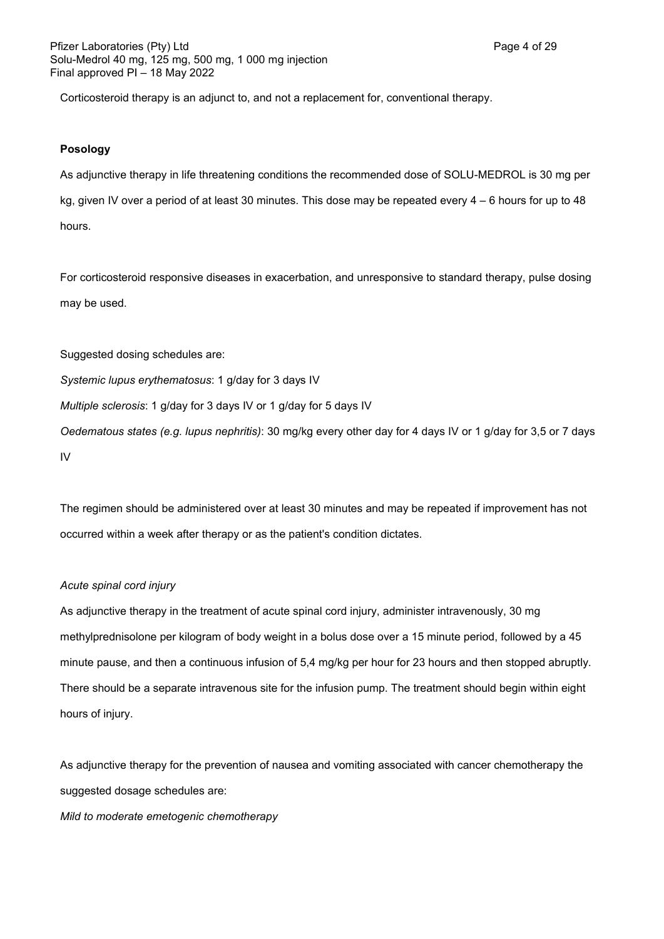Corticosteroid therapy is an adjunct to, and not a replacement for, conventional therapy.

## **Posology**

As adjunctive therapy in life threatening conditions the recommended dose of SOLU-MEDROL is 30 mg per kg, given IV over a period of at least 30 minutes. This dose may be repeated every 4 – 6 hours for up to 48 hours.

For corticosteroid responsive diseases in exacerbation, and unresponsive to standard therapy, pulse dosing may be used.

Suggested dosing schedules are:

*Systemic lupus erythematosus*: 1 g/day for 3 days IV

*Multiple sclerosis*: 1 g/day for 3 days IV or 1 g/day for 5 days IV

*Oedematous states (e.g. lupus nephritis)*: 30 mg/kg every other day for 4 days IV or 1 g/day for 3,5 or 7 days IV

The regimen should be administered over at least 30 minutes and may be repeated if improvement has not occurred within a week after therapy or as the patient's condition dictates.

#### *Acute spinal cord injury*

As adjunctive therapy in the treatment of acute spinal cord injury, administer intravenously, 30 mg methylprednisolone per kilogram of body weight in a bolus dose over a 15 minute period, followed by a 45 minute pause, and then a continuous infusion of 5,4 mg/kg per hour for 23 hours and then stopped abruptly. There should be a separate intravenous site for the infusion pump. The treatment should begin within eight hours of injury.

As adjunctive therapy for the prevention of nausea and vomiting associated with cancer chemotherapy the suggested dosage schedules are:

*Mild to moderate emetogenic chemotherapy*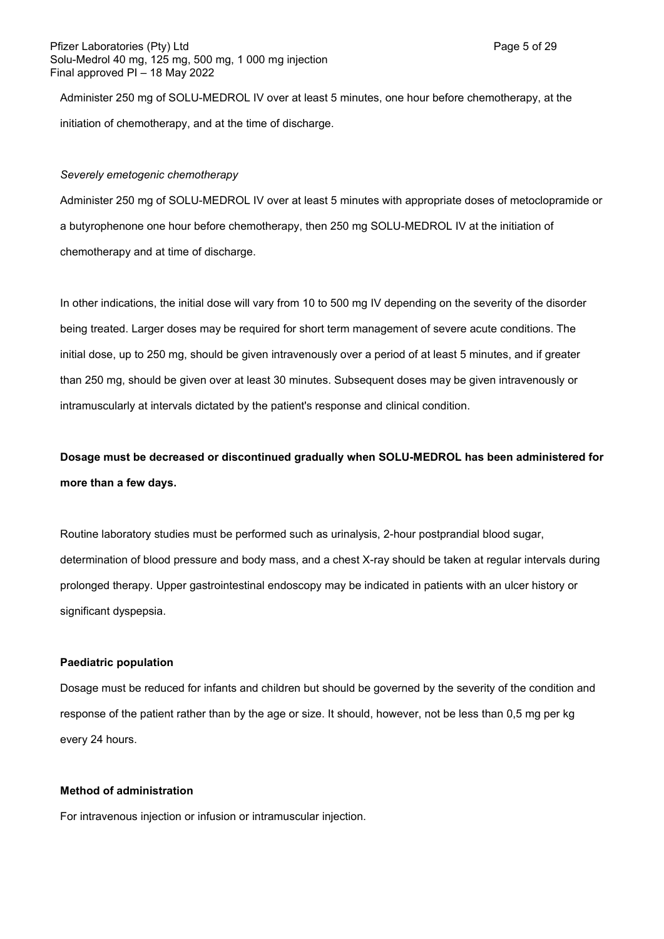Administer 250 mg of SOLU-MEDROL IV over at least 5 minutes, one hour before chemotherapy, at the initiation of chemotherapy, and at the time of discharge.

#### *Severely emetogenic chemotherapy*

Administer 250 mg of SOLU-MEDROL IV over at least 5 minutes with appropriate doses of metoclopramide or a butyrophenone one hour before chemotherapy, then 250 mg SOLU-MEDROL IV at the initiation of chemotherapy and at time of discharge.

In other indications, the initial dose will vary from 10 to 500 mg IV depending on the severity of the disorder being treated. Larger doses may be required for short term management of severe acute conditions. The initial dose, up to 250 mg, should be given intravenously over a period of at least 5 minutes, and if greater than 250 mg, should be given over at least 30 minutes. Subsequent doses may be given intravenously or intramuscularly at intervals dictated by the patient's response and clinical condition.

**Dosage must be decreased or discontinued gradually when SOLU-MEDROL has been administered for more than a few days.** 

Routine laboratory studies must be performed such as urinalysis, 2-hour postprandial blood sugar, determination of blood pressure and body mass, and a chest X-ray should be taken at regular intervals during prolonged therapy. Upper gastrointestinal endoscopy may be indicated in patients with an ulcer history or significant dyspepsia.

#### **Paediatric population**

Dosage must be reduced for infants and children but should be governed by the severity of the condition and response of the patient rather than by the age or size. It should, however, not be less than 0,5 mg per kg every 24 hours.

#### **Method of administration**

For intravenous injection or infusion or intramuscular injection.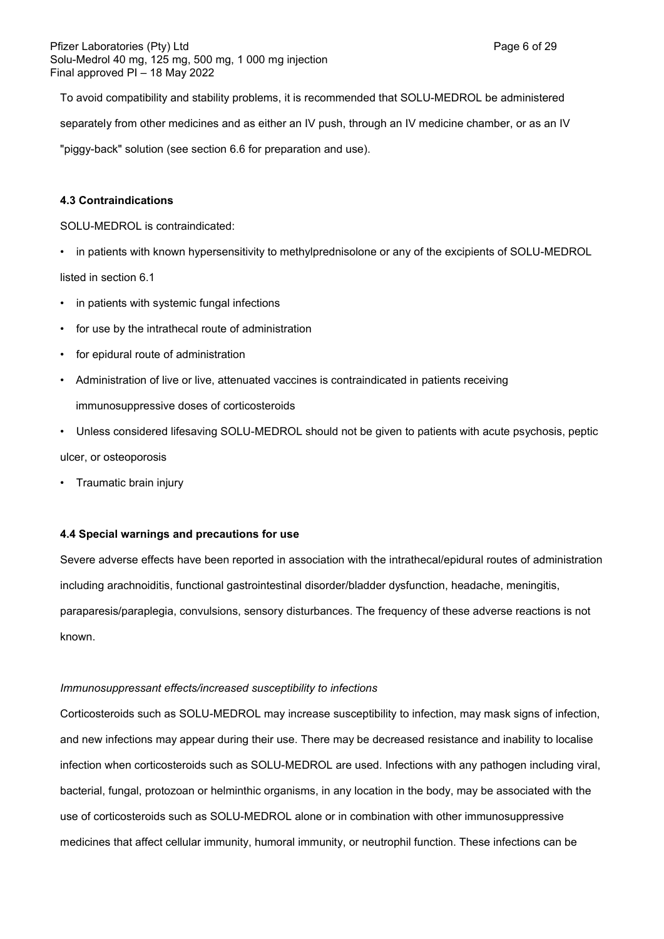To avoid compatibility and stability problems, it is recommended that SOLU-MEDROL be administered separately from other medicines and as either an IV push, through an IV medicine chamber, or as an IV "piggy-back" solution (see section 6.6 for preparation and use).

# **4.3 Contraindications**

SOLU-MEDROL is contraindicated:

• in patients with known hypersensitivity to methylprednisolone or any of the excipients of SOLU-MEDROL

listed in section 6.1

- in patients with systemic fungal infections
- for use by the intrathecal route of administration
- for epidural route of administration
- Administration of live or live, attenuated vaccines is contraindicated in patients receiving immunosuppressive doses of corticosteroids
- Unless considered lifesaving SOLU-MEDROL should not be given to patients with acute psychosis, peptic ulcer, or osteoporosis
- Traumatic brain injury

#### **4.4 Special warnings and precautions for use**

Severe adverse effects have been reported in association with the intrathecal/epidural routes of administration including arachnoiditis, functional gastrointestinal disorder/bladder dysfunction, headache, meningitis, paraparesis/paraplegia, convulsions, sensory disturbances. The frequency of these adverse reactions is not known.

#### *Immunosuppressant effects/increased susceptibility to infections*

Corticosteroids such as SOLU-MEDROL may increase susceptibility to infection, may mask signs of infection, and new infections may appear during their use. There may be decreased resistance and inability to localise infection when corticosteroids such as SOLU-MEDROL are used. Infections with any pathogen including viral, bacterial, fungal, protozoan or helminthic organisms, in any location in the body, may be associated with the use of corticosteroids such as SOLU-MEDROL alone or in combination with other immunosuppressive medicines that affect cellular immunity, humoral immunity, or neutrophil function. These infections can be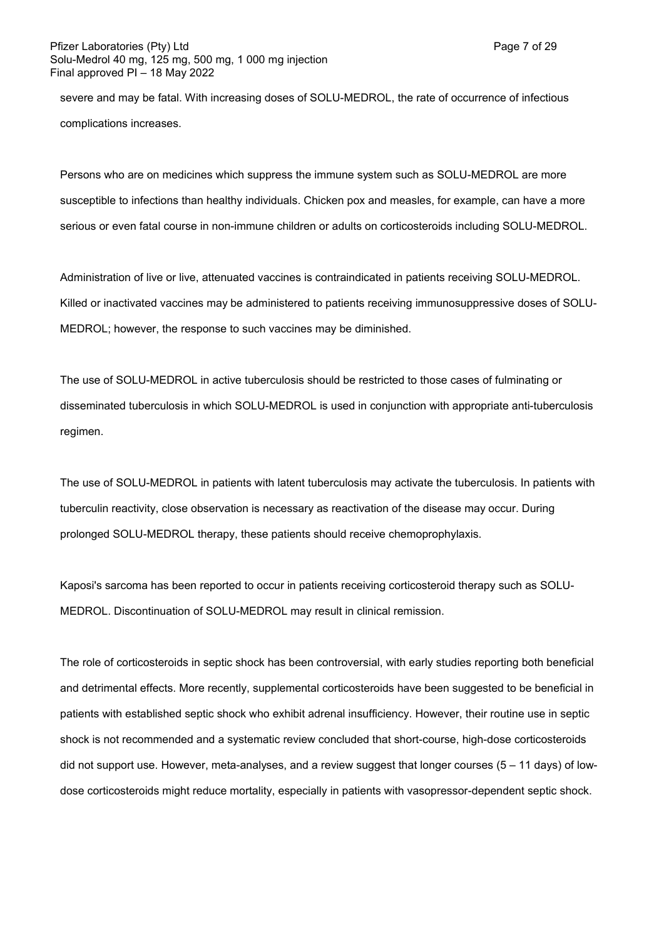severe and may be fatal. With increasing doses of SOLU-MEDROL, the rate of occurrence of infectious complications increases.

Persons who are on medicines which suppress the immune system such as SOLU-MEDROL are more susceptible to infections than healthy individuals. Chicken pox and measles, for example, can have a more serious or even fatal course in non-immune children or adults on corticosteroids including SOLU-MEDROL.

Administration of live or live, attenuated vaccines is contraindicated in patients receiving SOLU-MEDROL. Killed or inactivated vaccines may be administered to patients receiving immunosuppressive doses of SOLU-MEDROL; however, the response to such vaccines may be diminished.

The use of SOLU-MEDROL in active tuberculosis should be restricted to those cases of fulminating or disseminated tuberculosis in which SOLU-MEDROL is used in conjunction with appropriate anti-tuberculosis regimen.

The use of SOLU-MEDROL in patients with latent tuberculosis may activate the tuberculosis. In patients with tuberculin reactivity, close observation is necessary as reactivation of the disease may occur. During prolonged SOLU-MEDROL therapy, these patients should receive chemoprophylaxis.

Kaposi's sarcoma has been reported to occur in patients receiving corticosteroid therapy such as SOLU-MEDROL. Discontinuation of SOLU-MEDROL may result in clinical remission.

The role of corticosteroids in septic shock has been controversial, with early studies reporting both beneficial and detrimental effects. More recently, supplemental corticosteroids have been suggested to be beneficial in patients with established septic shock who exhibit adrenal insufficiency. However, their routine use in septic shock is not recommended and a systematic review concluded that short-course, high-dose corticosteroids did not support use. However, meta-analyses, and a review suggest that longer courses  $(5 - 11 \text{ days})$  of lowdose corticosteroids might reduce mortality, especially in patients with vasopressor-dependent septic shock.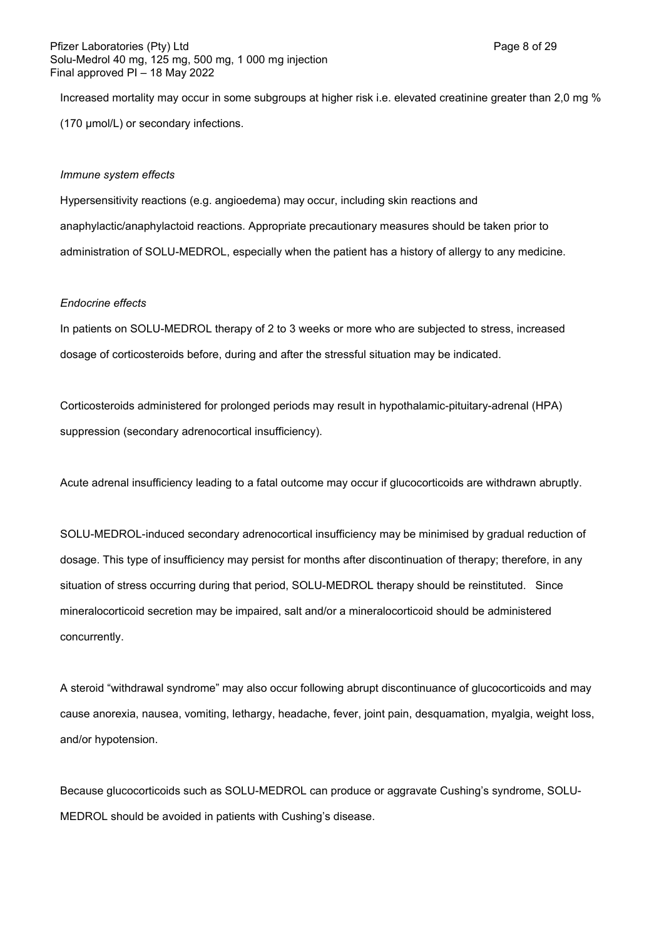Increased mortality may occur in some subgroups at higher risk i.e. elevated creatinine greater than 2,0 mg % (170 µmol/L) or secondary infections.

#### *Immune system effects*

Hypersensitivity reactions (e.g. angioedema) may occur, including skin reactions and anaphylactic/anaphylactoid reactions. Appropriate precautionary measures should be taken prior to administration of SOLU-MEDROL, especially when the patient has a history of allergy to any medicine.

#### *Endocrine effects*

In patients on SOLU-MEDROL therapy of 2 to 3 weeks or more who are subjected to stress, increased dosage of corticosteroids before, during and after the stressful situation may be indicated.

Corticosteroids administered for prolonged periods may result in hypothalamic-pituitary-adrenal (HPA) suppression (secondary adrenocortical insufficiency).

Acute adrenal insufficiency leading to a fatal outcome may occur if glucocorticoids are withdrawn abruptly.

SOLU-MEDROL-induced secondary adrenocortical insufficiency may be minimised by gradual reduction of dosage. This type of insufficiency may persist for months after discontinuation of therapy; therefore, in any situation of stress occurring during that period, SOLU-MEDROL therapy should be reinstituted. Since mineralocorticoid secretion may be impaired, salt and/or a mineralocorticoid should be administered concurrently.

A steroid "withdrawal syndrome" may also occur following abrupt discontinuance of glucocorticoids and may cause anorexia, nausea, vomiting, lethargy, headache, fever, joint pain, desquamation, myalgia, weight loss, and/or hypotension.

Because glucocorticoids such as SOLU-MEDROL can produce or aggravate Cushing's syndrome, SOLU-MEDROL should be avoided in patients with Cushing's disease.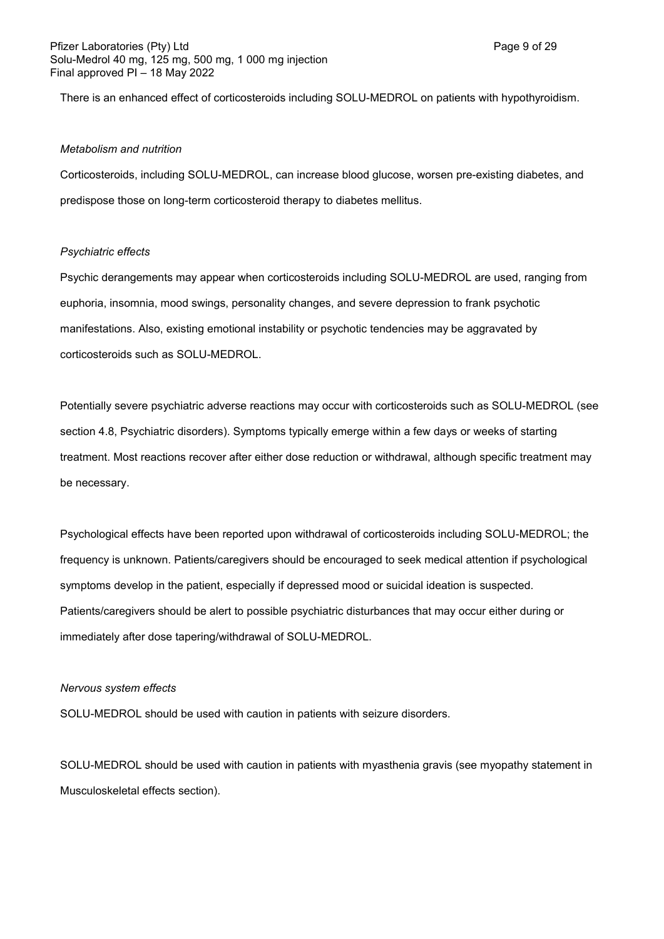There is an enhanced effect of corticosteroids including SOLU-MEDROL on patients with hypothyroidism.

#### *Metabolism and nutrition*

Corticosteroids, including SOLU-MEDROL, can increase blood glucose, worsen pre-existing diabetes, and predispose those on long-term corticosteroid therapy to diabetes mellitus.

#### *Psychiatric effects*

Psychic derangements may appear when corticosteroids including SOLU-MEDROL are used, ranging from euphoria, insomnia, mood swings, personality changes, and severe depression to frank psychotic manifestations. Also, existing emotional instability or psychotic tendencies may be aggravated by corticosteroids such as SOLU-MEDROL.

Potentially severe psychiatric adverse reactions may occur with corticosteroids such as SOLU-MEDROL (see section 4.8, Psychiatric disorders). Symptoms typically emerge within a few days or weeks of starting treatment. Most reactions recover after either dose reduction or withdrawal, although specific treatment may be necessary.

Psychological effects have been reported upon withdrawal of corticosteroids including SOLU-MEDROL; the frequency is unknown. Patients/caregivers should be encouraged to seek medical attention if psychological symptoms develop in the patient, especially if depressed mood or suicidal ideation is suspected. Patients/caregivers should be alert to possible psychiatric disturbances that may occur either during or immediately after dose tapering/withdrawal of SOLU-MEDROL.

#### *Nervous system effects*

SOLU-MEDROL should be used with caution in patients with seizure disorders.

SOLU-MEDROL should be used with caution in patients with myasthenia gravis (see myopathy statement in Musculoskeletal effects section).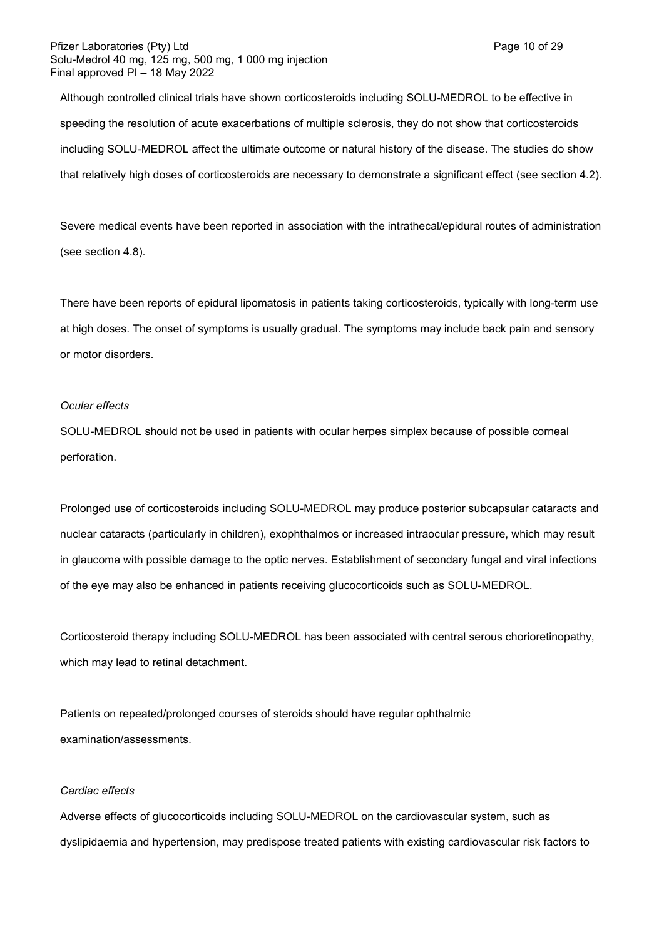Although controlled clinical trials have shown corticosteroids including SOLU-MEDROL to be effective in speeding the resolution of acute exacerbations of multiple sclerosis, they do not show that corticosteroids including SOLU-MEDROL affect the ultimate outcome or natural history of the disease. The studies do show that relatively high doses of corticosteroids are necessary to demonstrate a significant effect (see section 4.2).

Severe medical events have been reported in association with the intrathecal/epidural routes of administration (see section 4.8).

There have been reports of epidural lipomatosis in patients taking corticosteroids, typically with long-term use at high doses. The onset of symptoms is usually gradual. The symptoms may include back pain and sensory or motor disorders.

#### *Ocular effects*

SOLU-MEDROL should not be used in patients with ocular herpes simplex because of possible corneal perforation.

Prolonged use of corticosteroids including SOLU-MEDROL may produce posterior subcapsular cataracts and nuclear cataracts (particularly in children), exophthalmos or increased intraocular pressure, which may result in glaucoma with possible damage to the optic nerves. Establishment of secondary fungal and viral infections of the eye may also be enhanced in patients receiving glucocorticoids such as SOLU-MEDROL.

Corticosteroid therapy including SOLU-MEDROL has been associated with central serous chorioretinopathy, which may lead to retinal detachment.

Patients on repeated/prolonged courses of steroids should have regular ophthalmic examination/assessments.

#### *Cardiac effects*

Adverse effects of glucocorticoids including SOLU-MEDROL on the cardiovascular system, such as dyslipidaemia and hypertension, may predispose treated patients with existing cardiovascular risk factors to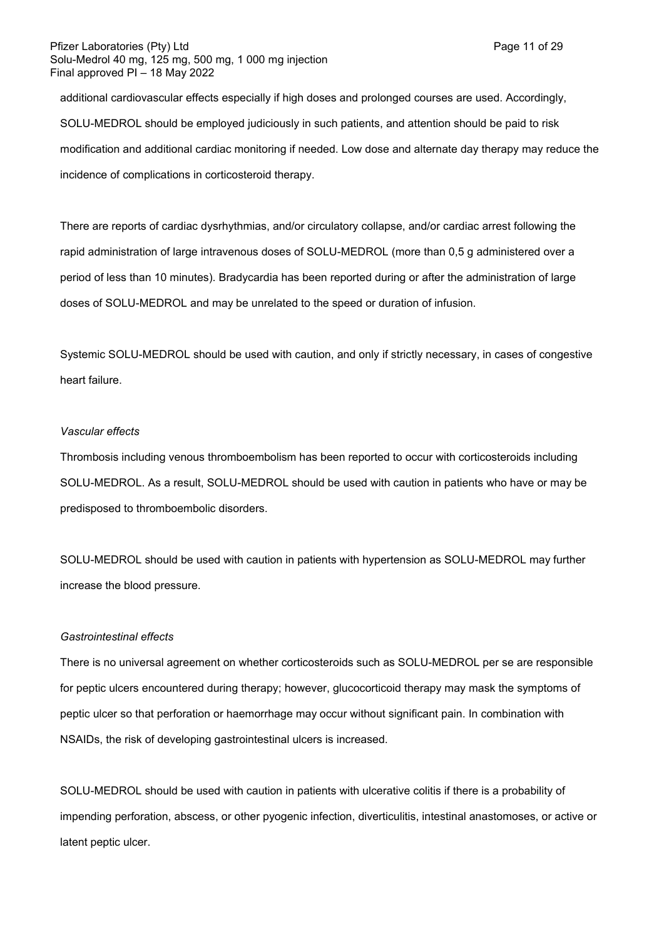additional cardiovascular effects especially if high doses and prolonged courses are used. Accordingly, SOLU-MEDROL should be employed judiciously in such patients, and attention should be paid to risk modification and additional cardiac monitoring if needed. Low dose and alternate day therapy may reduce the incidence of complications in corticosteroid therapy.

There are reports of cardiac dysrhythmias, and/or circulatory collapse, and/or cardiac arrest following the rapid administration of large intravenous doses of SOLU-MEDROL (more than 0,5 g administered over a period of less than 10 minutes). Bradycardia has been reported during or after the administration of large doses of SOLU-MEDROL and may be unrelated to the speed or duration of infusion.

Systemic SOLU-MEDROL should be used with caution, and only if strictly necessary, in cases of congestive heart failure.

#### *Vascular effects*

Thrombosis including venous thromboembolism has been reported to occur with corticosteroids including SOLU-MEDROL. As a result, SOLU-MEDROL should be used with caution in patients who have or may be predisposed to thromboembolic disorders.

SOLU-MEDROL should be used with caution in patients with hypertension as SOLU-MEDROL may further increase the blood pressure.

#### *Gastrointestinal effects*

There is no universal agreement on whether corticosteroids such as SOLU-MEDROL per se are responsible for peptic ulcers encountered during therapy; however, glucocorticoid therapy may mask the symptoms of peptic ulcer so that perforation or haemorrhage may occur without significant pain. In combination with NSAIDs, the risk of developing gastrointestinal ulcers is increased.

SOLU-MEDROL should be used with caution in patients with ulcerative colitis if there is a probability of impending perforation, abscess, or other pyogenic infection, diverticulitis, intestinal anastomoses, or active or latent peptic ulcer.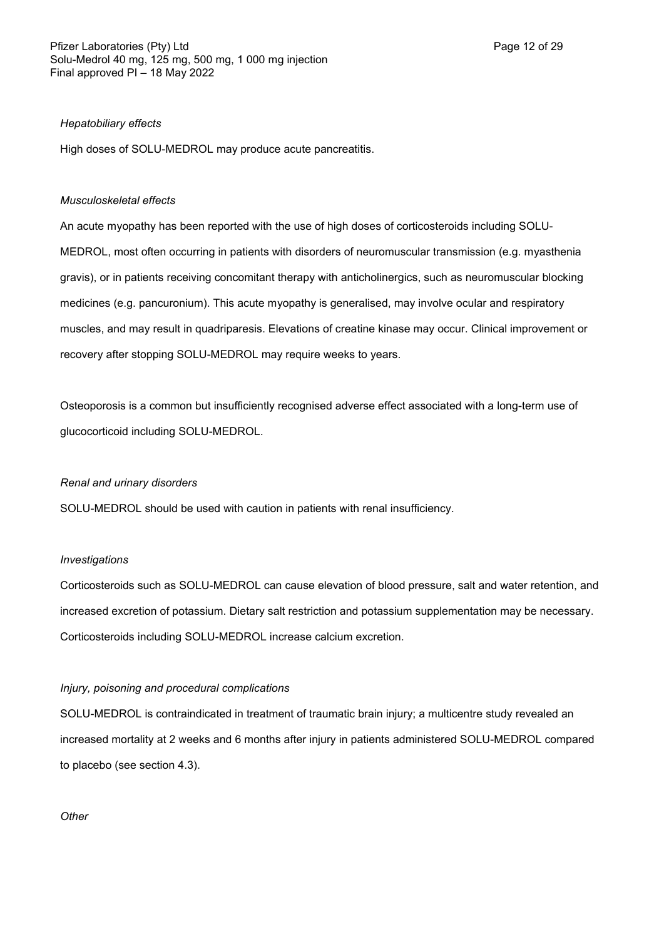#### *Hepatobiliary effects*

High doses of SOLU-MEDROL may produce acute pancreatitis.

### *Musculoskeletal effects*

An acute myopathy has been reported with the use of high doses of corticosteroids including SOLU-MEDROL, most often occurring in patients with disorders of neuromuscular transmission (e.g. myasthenia gravis), or in patients receiving concomitant therapy with anticholinergics, such as neuromuscular blocking medicines (e.g. pancuronium). This acute myopathy is generalised, may involve ocular and respiratory muscles, and may result in quadriparesis. Elevations of creatine kinase may occur. Clinical improvement or recovery after stopping SOLU-MEDROL may require weeks to years.

Osteoporosis is a common but insufficiently recognised adverse effect associated with a long-term use of glucocorticoid including SOLU-MEDROL.

#### *Renal and urinary disorders*

SOLU-MEDROL should be used with caution in patients with renal insufficiency.

#### *Investigations*

Corticosteroids such as SOLU-MEDROL can cause elevation of blood pressure, salt and water retention, and increased excretion of potassium. Dietary salt restriction and potassium supplementation may be necessary. Corticosteroids including SOLU-MEDROL increase calcium excretion.

# *Injury, poisoning and procedural complications*

SOLU-MEDROL is contraindicated in treatment of traumatic brain injury; a multicentre study revealed an increased mortality at 2 weeks and 6 months after injury in patients administered SOLU-MEDROL compared to placebo (see section 4.3).

#### *Other*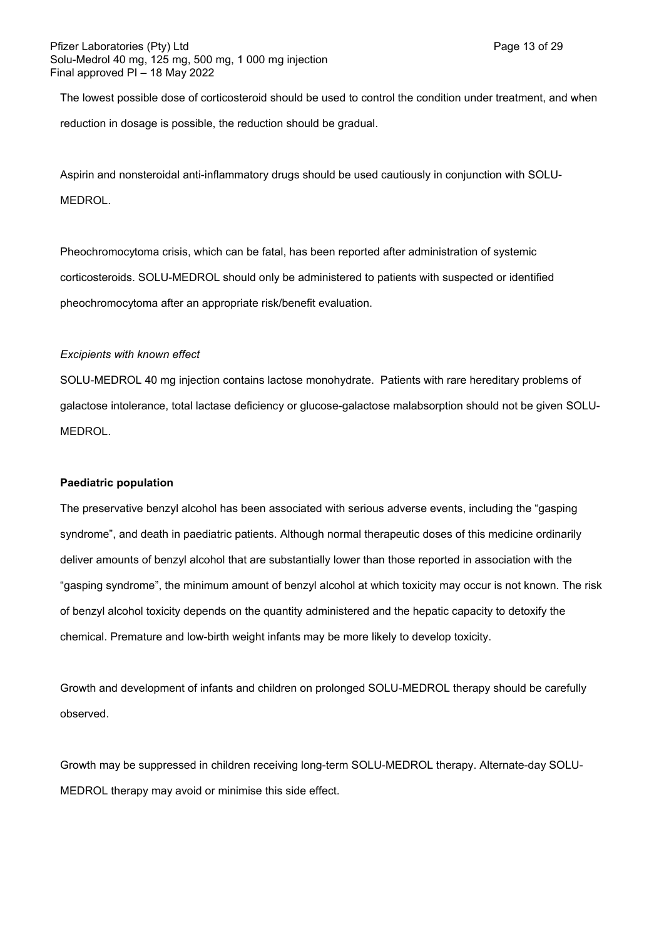The lowest possible dose of corticosteroid should be used to control the condition under treatment, and when reduction in dosage is possible, the reduction should be gradual.

Aspirin and nonsteroidal anti-inflammatory drugs should be used cautiously in conjunction with SOLU-MEDROL.

Pheochromocytoma crisis, which can be fatal, has been reported after administration of systemic corticosteroids. SOLU-MEDROL should only be administered to patients with suspected or identified pheochromocytoma after an appropriate risk/benefit evaluation.

## *Excipients with known effect*

SOLU-MEDROL 40 mg injection contains lactose monohydrate. Patients with rare hereditary problems of galactose intolerance, total lactase deficiency or glucose-galactose malabsorption should not be given SOLU-MEDROL.

# **Paediatric population**

The preservative benzyl alcohol has been associated with serious adverse events, including the "gasping syndrome", and death in paediatric patients. Although normal therapeutic doses of this medicine ordinarily deliver amounts of benzyl alcohol that are substantially lower than those reported in association with the "gasping syndrome", the minimum amount of benzyl alcohol at which toxicity may occur is not known. The risk of benzyl alcohol toxicity depends on the quantity administered and the hepatic capacity to detoxify the chemical. Premature and low-birth weight infants may be more likely to develop toxicity.

Growth and development of infants and children on prolonged SOLU-MEDROL therapy should be carefully observed.

Growth may be suppressed in children receiving long-term SOLU-MEDROL therapy. Alternate-day SOLU-MEDROL therapy may avoid or minimise this side effect.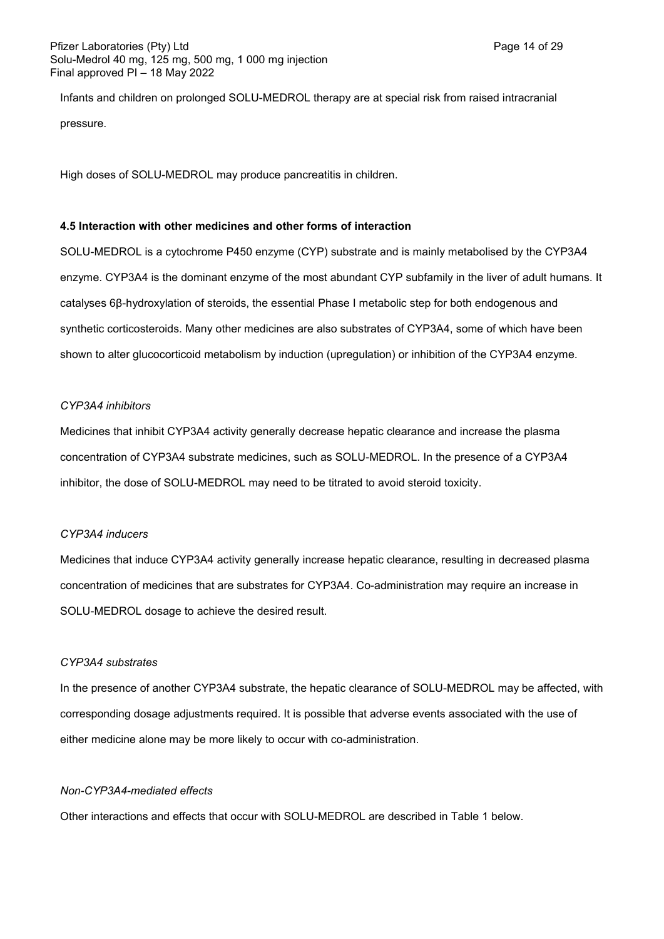Infants and children on prolonged SOLU-MEDROL therapy are at special risk from raised intracranial pressure.

High doses of SOLU-MEDROL may produce pancreatitis in children.

## **4.5 Interaction with other medicines and other forms of interaction**

SOLU-MEDROL is a cytochrome P450 enzyme (CYP) substrate and is mainly metabolised by the CYP3A4 enzyme. CYP3A4 is the dominant enzyme of the most abundant CYP subfamily in the liver of adult humans. It catalyses 6β-hydroxylation of steroids, the essential Phase I metabolic step for both endogenous and synthetic corticosteroids. Many other medicines are also substrates of CYP3A4, some of which have been shown to alter glucocorticoid metabolism by induction (upregulation) or inhibition of the CYP3A4 enzyme.

## *CYP3A4 inhibitors*

Medicines that inhibit CYP3A4 activity generally decrease hepatic clearance and increase the plasma concentration of CYP3A4 substrate medicines, such as SOLU-MEDROL. In the presence of a CYP3A4 inhibitor, the dose of SOLU-MEDROL may need to be titrated to avoid steroid toxicity.

# *CYP3A4 inducers*

Medicines that induce CYP3A4 activity generally increase hepatic clearance, resulting in decreased plasma concentration of medicines that are substrates for CYP3A4. Co-administration may require an increase in SOLU-MEDROL dosage to achieve the desired result.

# *CYP3A4 substrates*

In the presence of another CYP3A4 substrate, the hepatic clearance of SOLU-MEDROL may be affected, with corresponding dosage adjustments required. It is possible that adverse events associated with the use of either medicine alone may be more likely to occur with co-administration.

## *Non-CYP3A4-mediated effects*

Other interactions and effects that occur with SOLU-MEDROL are described in Table 1 below.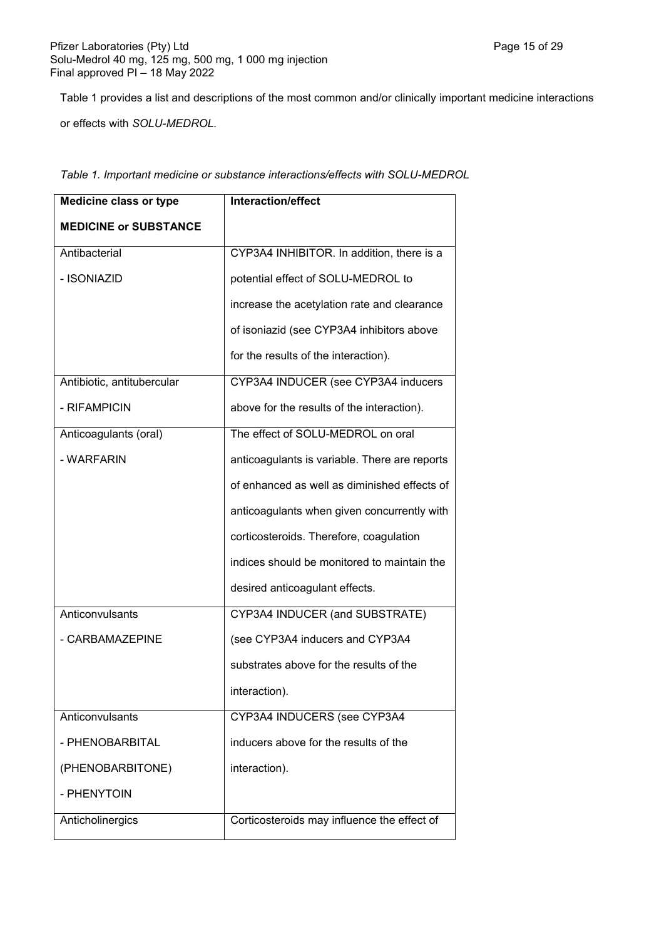Table 1 provides a list and descriptions of the most common and/or clinically important medicine interactions

or effects with *SOLU-MEDROL.*

| <b>Medicine class or type</b> | Interaction/effect                            |
|-------------------------------|-----------------------------------------------|
| <b>MEDICINE or SUBSTANCE</b>  |                                               |
| Antibacterial                 | CYP3A4 INHIBITOR. In addition, there is a     |
| - ISONIAZID                   | potential effect of SOLU-MEDROL to            |
|                               | increase the acetylation rate and clearance   |
|                               | of isoniazid (see CYP3A4 inhibitors above     |
|                               | for the results of the interaction).          |
| Antibiotic, antitubercular    | CYP3A4 INDUCER (see CYP3A4 inducers           |
| - RIFAMPICIN                  | above for the results of the interaction).    |
| Anticoagulants (oral)         | The effect of SOLU-MEDROL on oral             |
| - WARFARIN                    | anticoagulants is variable. There are reports |
|                               | of enhanced as well as diminished effects of  |
|                               | anticoagulants when given concurrently with   |
|                               | corticosteroids. Therefore, coagulation       |
|                               | indices should be monitored to maintain the   |
|                               | desired anticoagulant effects.                |
| Anticonvulsants               | CYP3A4 INDUCER (and SUBSTRATE)                |
| - CARBAMAZEPINE               | (see CYP3A4 inducers and CYP3A4               |
|                               | substrates above for the results of the       |
|                               | interaction).                                 |
| Anticonvulsants               | CYP3A4 INDUCERS (see CYP3A4                   |
| - PHENOBARBITAL               | inducers above for the results of the         |
| (PHENOBARBITONE)              | interaction).                                 |
| - PHENYTOIN                   |                                               |
| Anticholinergics              | Corticosteroids may influence the effect of   |

*Table 1. Important medicine or substance interactions/effects with SOLU-MEDROL*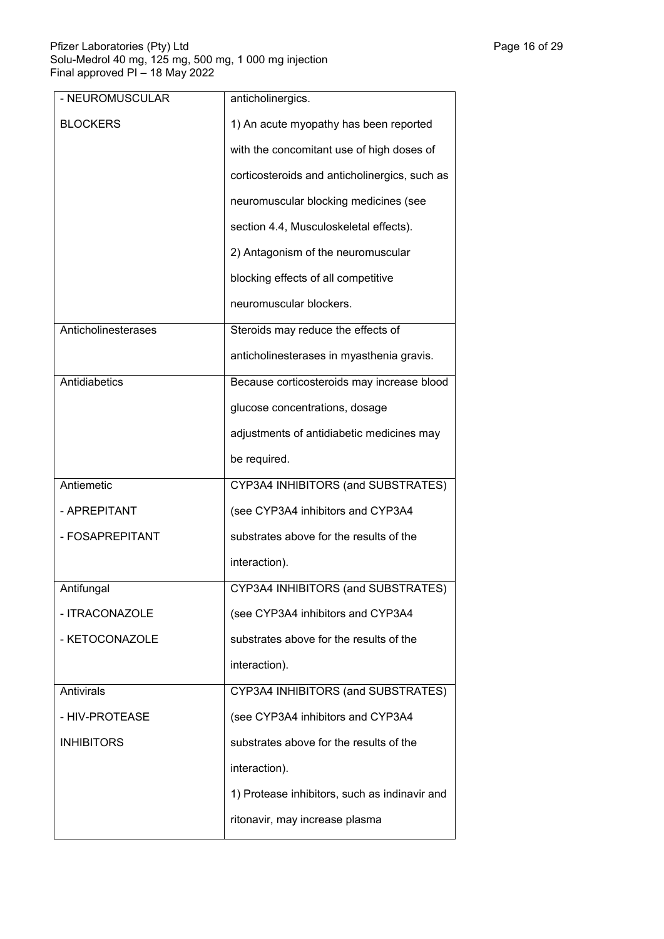| - NEUROMUSCULAR     | anticholinergics.                             |
|---------------------|-----------------------------------------------|
| <b>BLOCKERS</b>     | 1) An acute myopathy has been reported        |
|                     | with the concomitant use of high doses of     |
|                     | corticosteroids and anticholinergics, such as |
|                     | neuromuscular blocking medicines (see         |
|                     | section 4.4, Musculoskeletal effects).        |
|                     | 2) Antagonism of the neuromuscular            |
|                     | blocking effects of all competitive           |
|                     | neuromuscular blockers.                       |
| Anticholinesterases | Steroids may reduce the effects of            |
|                     | anticholinesterases in myasthenia gravis.     |
| Antidiabetics       | Because corticosteroids may increase blood    |
|                     | glucose concentrations, dosage                |
|                     | adjustments of antidiabetic medicines may     |
|                     | be required.                                  |
| Antiemetic          | CYP3A4 INHIBITORS (and SUBSTRATES)            |
| - APREPITANT        | (see CYP3A4 inhibitors and CYP3A4             |
| - FOSAPREPITANT     | substrates above for the results of the       |
|                     | interaction).                                 |
| Antifungal          | CYP3A4 INHIBITORS (and SUBSTRATES)            |
| - ITRACONAZOLE      | (see CYP3A4 inhibitors and CYP3A4             |
| - KETOCONAZOLE      | substrates above for the results of the       |
|                     | interaction).                                 |
| Antivirals          | CYP3A4 INHIBITORS (and SUBSTRATES)            |
| - HIV-PROTEASE      | (see CYP3A4 inhibitors and CYP3A4             |
| <b>INHIBITORS</b>   | substrates above for the results of the       |
|                     | interaction).                                 |
|                     | 1) Protease inhibitors, such as indinavir and |
|                     | ritonavir, may increase plasma                |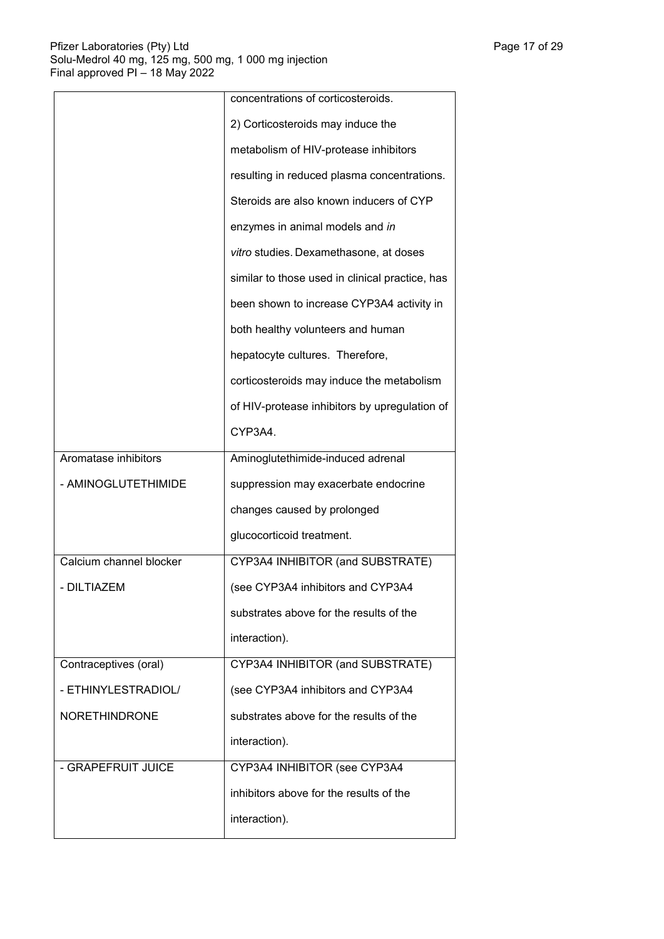|                         | concentrations of corticosteroids.              |
|-------------------------|-------------------------------------------------|
|                         | 2) Corticosteroids may induce the               |
|                         | metabolism of HIV-protease inhibitors           |
|                         | resulting in reduced plasma concentrations.     |
|                         | Steroids are also known inducers of CYP         |
|                         | enzymes in animal models and in                 |
|                         | vitro studies. Dexamethasone, at doses          |
|                         | similar to those used in clinical practice, has |
|                         | been shown to increase CYP3A4 activity in       |
|                         | both healthy volunteers and human               |
|                         | hepatocyte cultures. Therefore,                 |
|                         | corticosteroids may induce the metabolism       |
|                         | of HIV-protease inhibitors by upregulation of   |
|                         | CYP3A4.                                         |
| Aromatase inhibitors    | Aminoglutethimide-induced adrenal               |
| - AMINOGLUTETHIMIDE     | suppression may exacerbate endocrine            |
|                         | changes caused by prolonged                     |
|                         | glucocorticoid treatment.                       |
| Calcium channel blocker | CYP3A4 INHIBITOR (and SUBSTRATE)                |
| - DILTIAZEM             | (see CYP3A4 inhibitors and CYP3A4               |
|                         | substrates above for the results of the         |
|                         | interaction).                                   |
| Contraceptives (oral)   | CYP3A4 INHIBITOR (and SUBSTRATE)                |
| - ETHINYLESTRADIOL/     | (see CYP3A4 inhibitors and CYP3A4               |
| <b>NORETHINDRONE</b>    | substrates above for the results of the         |
|                         | interaction).                                   |
| - GRAPEFRUIT JUICE      | CYP3A4 INHIBITOR (see CYP3A4                    |
|                         | inhibitors above for the results of the         |
|                         | interaction).                                   |
|                         |                                                 |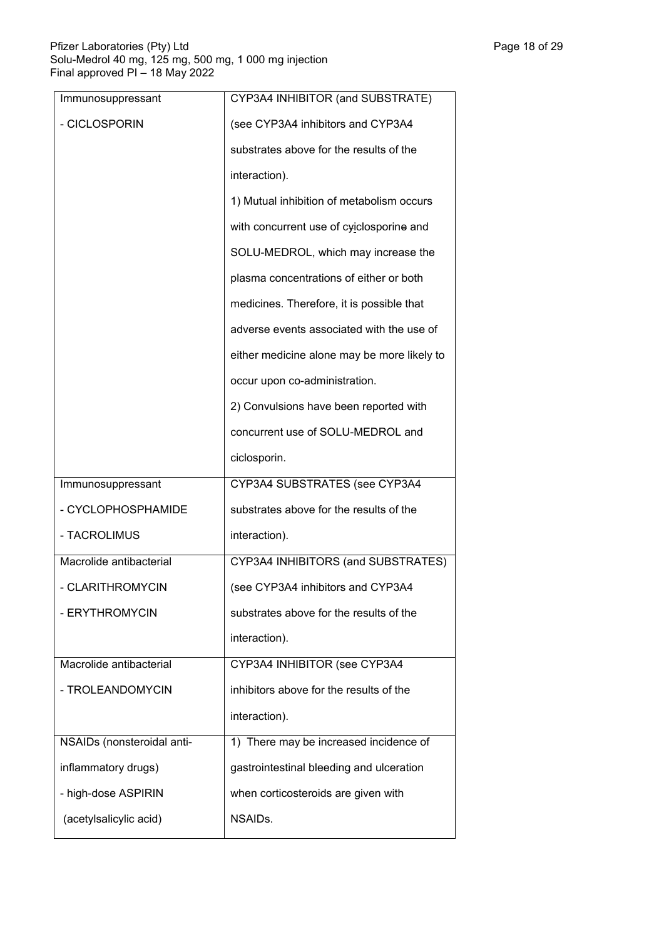| Immunosuppressant          | CYP3A4 INHIBITOR (and SUBSTRATE)            |  |  |
|----------------------------|---------------------------------------------|--|--|
| - CICLOSPORIN              | (see CYP3A4 inhibitors and CYP3A4           |  |  |
|                            | substrates above for the results of the     |  |  |
|                            | interaction).                               |  |  |
|                            | 1) Mutual inhibition of metabolism occurs   |  |  |
|                            | with concurrent use of cyiclosporine and    |  |  |
|                            | SOLU-MEDROL, which may increase the         |  |  |
|                            | plasma concentrations of either or both     |  |  |
|                            | medicines. Therefore, it is possible that   |  |  |
|                            | adverse events associated with the use of   |  |  |
|                            | either medicine alone may be more likely to |  |  |
|                            | occur upon co-administration.               |  |  |
|                            | 2) Convulsions have been reported with      |  |  |
|                            | concurrent use of SOLU-MEDROL and           |  |  |
|                            | ciclosporin.                                |  |  |
| Immunosuppressant          | CYP3A4 SUBSTRATES (see CYP3A4               |  |  |
| - CYCLOPHOSPHAMIDE         | substrates above for the results of the     |  |  |
| - TACROLIMUS               | interaction).                               |  |  |
| Macrolide antibacterial    | CYP3A4 INHIBITORS (and SUBSTRATES)          |  |  |
| - CLARITHROMYCIN           | (see CYP3A4 inhibitors and CYP3A4           |  |  |
| - ERYTHROMYCIN             | substrates above for the results of the     |  |  |
|                            | interaction).                               |  |  |
| Macrolide antibacterial    | CYP3A4 INHIBITOR (see CYP3A4                |  |  |
| - TROLEANDOMYCIN           | inhibitors above for the results of the     |  |  |
|                            | interaction).                               |  |  |
| NSAIDs (nonsteroidal anti- | 1) There may be increased incidence of      |  |  |
| inflammatory drugs)        | gastrointestinal bleeding and ulceration    |  |  |
| - high-dose ASPIRIN        | when corticosteroids are given with         |  |  |
| (acetylsalicylic acid)     | NSAIDs.                                     |  |  |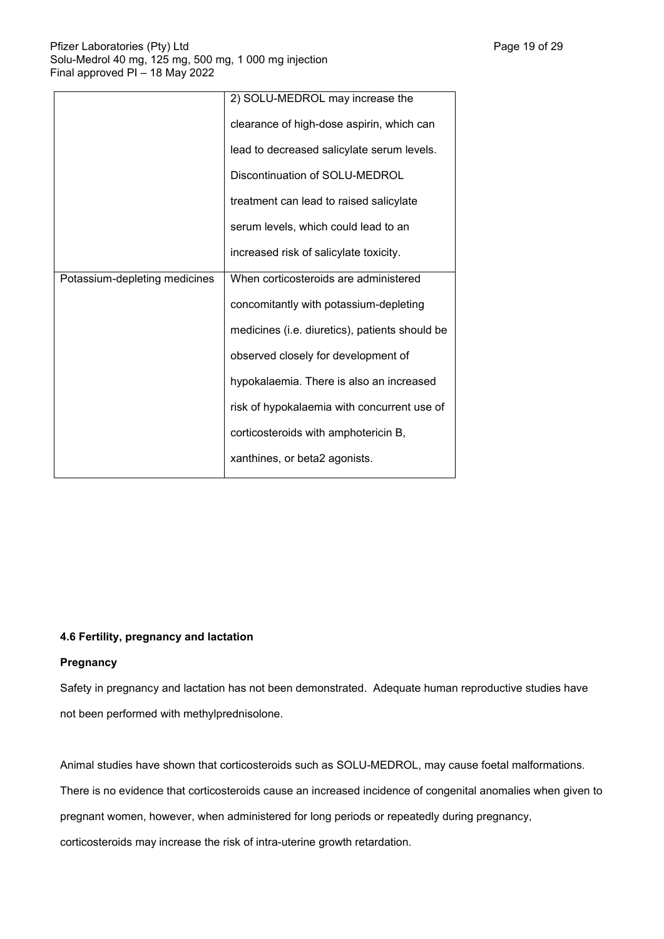|                               | 2) SOLU-MEDROL may increase the                |
|-------------------------------|------------------------------------------------|
|                               | clearance of high-dose aspirin, which can      |
|                               | lead to decreased salicylate serum levels.     |
|                               | Discontinuation of SOLU-MEDROL                 |
|                               | treatment can lead to raised salicylate        |
|                               | serum levels, which could lead to an           |
|                               | increased risk of salicylate toxicity.         |
| Potassium-depleting medicines | When corticosteroids are administered          |
|                               | concomitantly with potassium-depleting         |
|                               | medicines (i.e. diuretics), patients should be |
|                               | observed closely for development of            |
|                               | hypokalaemia. There is also an increased       |
|                               | risk of hypokalaemia with concurrent use of    |
|                               | corticosteroids with amphotericin B,           |
|                               | xanthines, or beta2 agonists.                  |

# **4.6 Fertility, pregnancy and lactation**

# **Pregnancy**

Safety in pregnancy and lactation has not been demonstrated. Adequate human reproductive studies have not been performed with methylprednisolone.

Animal studies have shown that corticosteroids such as SOLU-MEDROL, may cause foetal malformations.

There is no evidence that corticosteroids cause an increased incidence of congenital anomalies when given to

pregnant women, however, when administered for long periods or repeatedly during pregnancy,

corticosteroids may increase the risk of intra-uterine growth retardation.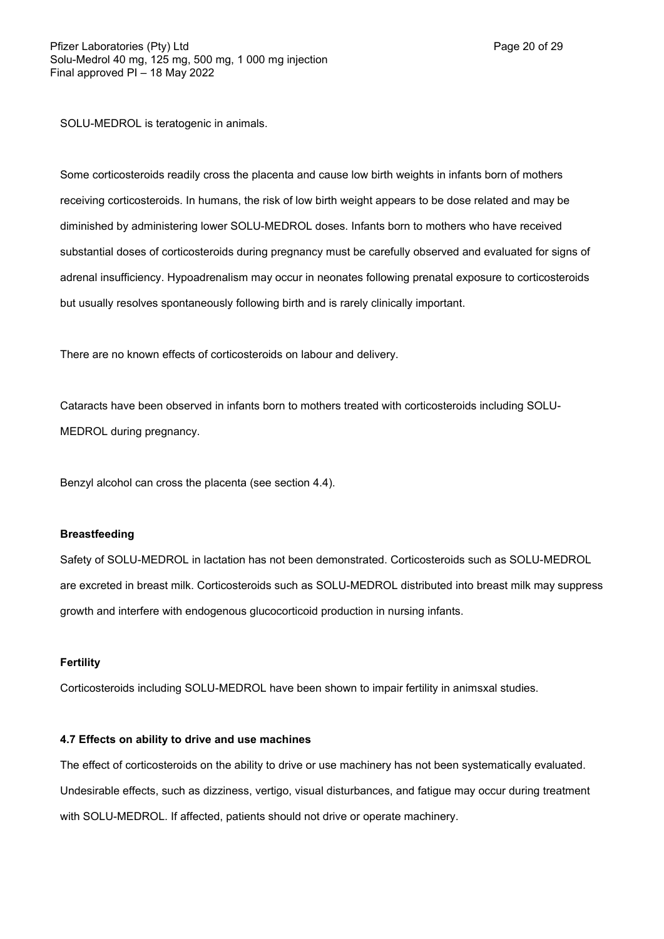SOLU-MEDROL is teratogenic in animals.

Some corticosteroids readily cross the placenta and cause low birth weights in infants born of mothers receiving corticosteroids. In humans, the risk of low birth weight appears to be dose related and may be diminished by administering lower SOLU-MEDROL doses. Infants born to mothers who have received substantial doses of corticosteroids during pregnancy must be carefully observed and evaluated for signs of adrenal insufficiency. Hypoadrenalism may occur in neonates following prenatal exposure to corticosteroids but usually resolves spontaneously following birth and is rarely clinically important.

There are no known effects of corticosteroids on labour and delivery.

Cataracts have been observed in infants born to mothers treated with corticosteroids including SOLU-MEDROL during pregnancy.

Benzyl alcohol can cross the placenta (see section 4.4).

#### **Breastfeeding**

Safety of SOLU-MEDROL in lactation has not been demonstrated. Corticosteroids such as SOLU-MEDROL are excreted in breast milk. Corticosteroids such as SOLU-MEDROL distributed into breast milk may suppress growth and interfere with endogenous glucocorticoid production in nursing infants.

#### **Fertility**

Corticosteroids including SOLU-MEDROL have been shown to impair fertility in animsxal studies.

#### **4.7 Effects on ability to drive and use machines**

The effect of corticosteroids on the ability to drive or use machinery has not been systematically evaluated. Undesirable effects, such as dizziness, vertigo, visual disturbances, and fatigue may occur during treatment with SOLU-MEDROL. If affected, patients should not drive or operate machinery.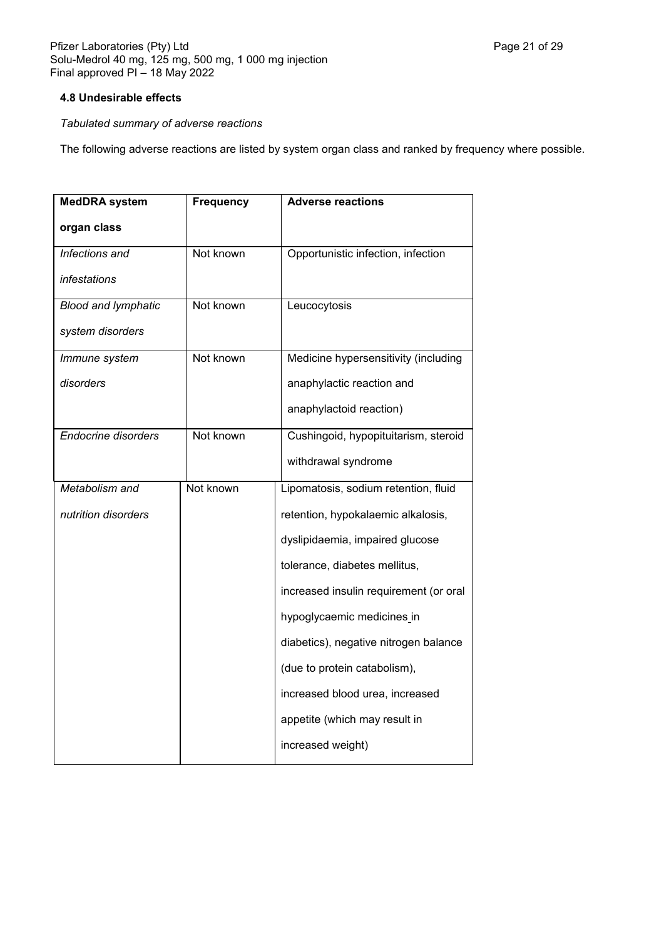# **4.8 Undesirable effects**

# *Tabulated summary of adverse reactions*

The following adverse reactions are listed by system organ class and ranked by frequency where possible.

| <b>MedDRA</b> system       | <b>Frequency</b> | <b>Adverse reactions</b>               |
|----------------------------|------------------|----------------------------------------|
| organ class                |                  |                                        |
| Infections and             | Not known        | Opportunistic infection, infection     |
| infestations               |                  |                                        |
| <b>Blood and lymphatic</b> | Not known        | Leucocytosis                           |
| system disorders           |                  |                                        |
| Immune system              | Not known        | Medicine hypersensitivity (including   |
| disorders                  |                  | anaphylactic reaction and              |
|                            |                  | anaphylactoid reaction)                |
| <b>Endocrine disorders</b> | Not known        | Cushingoid, hypopituitarism, steroid   |
|                            |                  | withdrawal syndrome                    |
| Metabolism and             | Not known        | Lipomatosis, sodium retention, fluid   |
| nutrition disorders        |                  | retention, hypokalaemic alkalosis,     |
|                            |                  | dyslipidaemia, impaired glucose        |
|                            |                  | tolerance, diabetes mellitus,          |
|                            |                  | increased insulin requirement (or oral |
|                            |                  | hypoglycaemic medicines_in             |
|                            |                  | diabetics), negative nitrogen balance  |
|                            |                  | (due to protein catabolism),           |
|                            |                  | increased blood urea, increased        |
|                            |                  | appetite (which may result in          |
|                            |                  | increased weight)                      |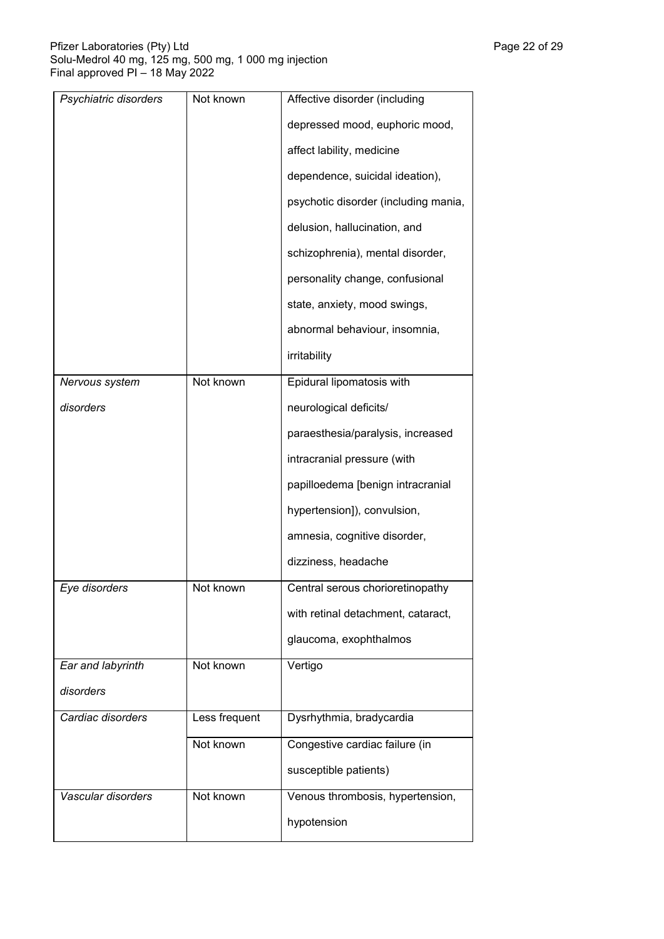| Psychiatric disorders | Not known     | Affective disorder (including        |
|-----------------------|---------------|--------------------------------------|
|                       |               | depressed mood, euphoric mood,       |
|                       |               | affect lability, medicine            |
|                       |               | dependence, suicidal ideation),      |
|                       |               | psychotic disorder (including mania, |
|                       |               | delusion, hallucination, and         |
|                       |               | schizophrenia), mental disorder,     |
|                       |               | personality change, confusional      |
|                       |               | state, anxiety, mood swings,         |
|                       |               | abnormal behaviour, insomnia,        |
|                       |               | irritability                         |
| Nervous system        | Not known     | Epidural lipomatosis with            |
| disorders             |               | neurological deficits/               |
|                       |               | paraesthesia/paralysis, increased    |
|                       |               | intracranial pressure (with          |
|                       |               | papilloedema [benign intracranial    |
|                       |               | hypertension]), convulsion,          |
|                       |               | amnesia, cognitive disorder,         |
|                       |               | dizziness, headache                  |
| Eye disorders         | Not known     | Central serous chorioretinopathy     |
|                       |               | with retinal detachment, cataract,   |
|                       |               | glaucoma, exophthalmos               |
| Ear and labyrinth     | Not known     | Vertigo                              |
| disorders             |               |                                      |
| Cardiac disorders     | Less frequent | Dysrhythmia, bradycardia             |
|                       | Not known     | Congestive cardiac failure (in       |
|                       |               | susceptible patients)                |
| Vascular disorders    | Not known     | Venous thrombosis, hypertension,     |
|                       |               | hypotension                          |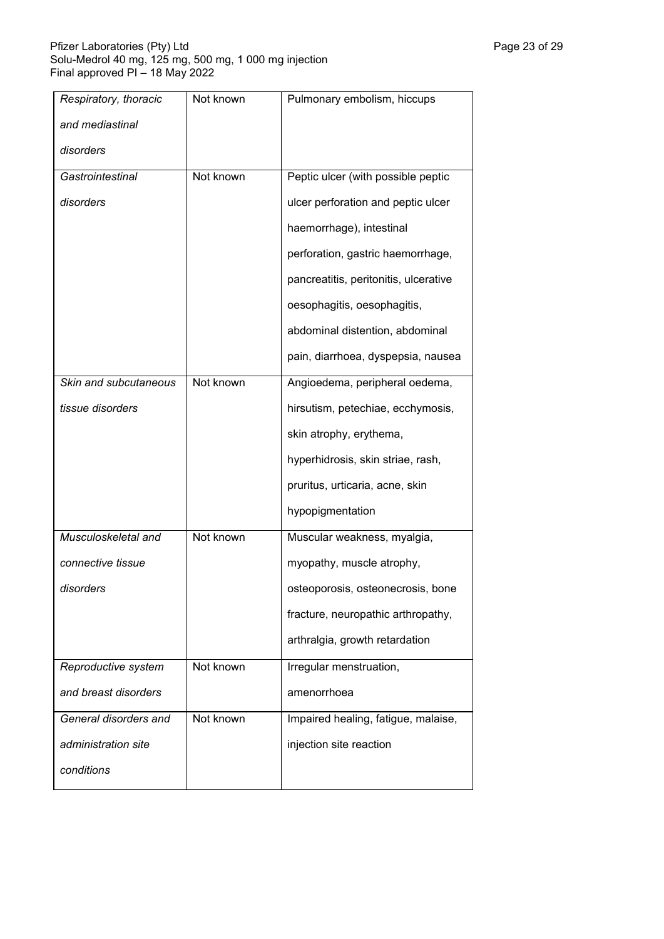| Respiratory, thoracic | Not known | Pulmonary embolism, hiccups           |
|-----------------------|-----------|---------------------------------------|
| and mediastinal       |           |                                       |
| disorders             |           |                                       |
| Gastrointestinal      | Not known | Peptic ulcer (with possible peptic    |
| disorders             |           | ulcer perforation and peptic ulcer    |
|                       |           | haemorrhage), intestinal              |
|                       |           | perforation, gastric haemorrhage,     |
|                       |           | pancreatitis, peritonitis, ulcerative |
|                       |           | oesophagitis, oesophagitis,           |
|                       |           | abdominal distention, abdominal       |
|                       |           | pain, diarrhoea, dyspepsia, nausea    |
| Skin and subcutaneous | Not known | Angioedema, peripheral oedema,        |
| tissue disorders      |           | hirsutism, petechiae, ecchymosis,     |
|                       |           | skin atrophy, erythema,               |
|                       |           | hyperhidrosis, skin striae, rash,     |
|                       |           | pruritus, urticaria, acne, skin       |
|                       |           | hypopigmentation                      |
| Musculoskeletal and   | Not known | Muscular weakness, myalgia,           |
| connective tissue     |           | myopathy, muscle atrophy,             |
| disorders             |           | osteoporosis, osteonecrosis, bone     |
|                       |           | fracture, neuropathic arthropathy,    |
|                       |           | arthralgia, growth retardation        |
| Reproductive system   | Not known | Irregular menstruation,               |
| and breast disorders  |           | amenorrhoea                           |
| General disorders and | Not known | Impaired healing, fatigue, malaise,   |
| administration site   |           | injection site reaction               |
| conditions            |           |                                       |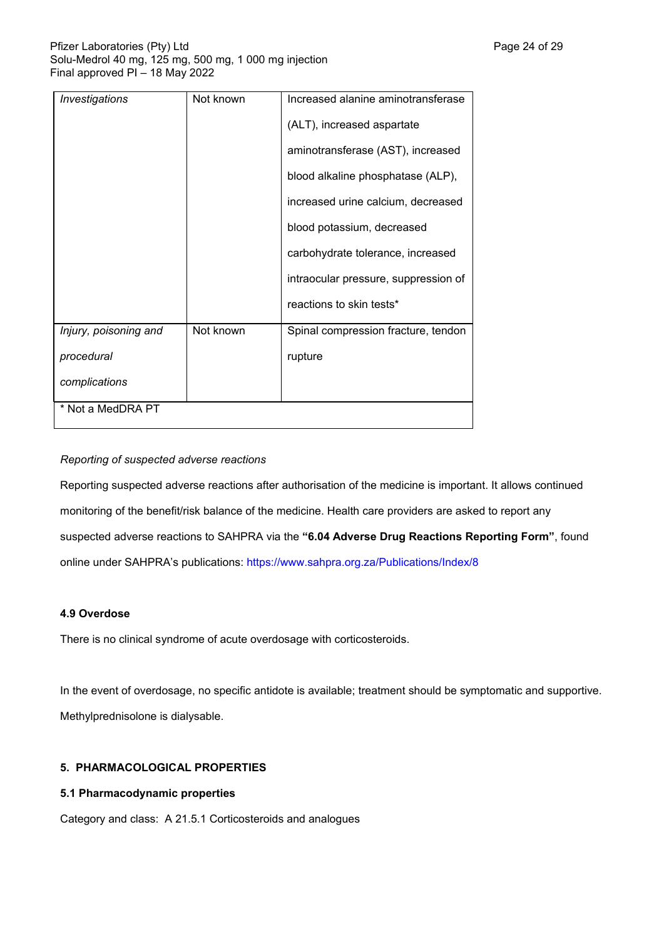| <b>Investigations</b> | Not known | Increased alanine aminotransferase   |
|-----------------------|-----------|--------------------------------------|
|                       |           | (ALT), increased aspartate           |
|                       |           | aminotransferase (AST), increased    |
|                       |           | blood alkaline phosphatase (ALP),    |
|                       |           | increased urine calcium, decreased   |
|                       |           | blood potassium, decreased           |
|                       |           | carbohydrate tolerance, increased    |
|                       |           | intraocular pressure, suppression of |
|                       |           | reactions to skin tests*             |
| Injury, poisoning and | Not known | Spinal compression fracture, tendon  |
| procedural            |           | rupture                              |
| complications         |           |                                      |
| * Not a MedDRA PT     |           |                                      |

# *Reporting of suspected adverse reactions*

Reporting suspected adverse reactions after authorisation of the medicine is important. It allows continued monitoring of the benefit/risk balance of the medicine. Health care providers are asked to report any suspected adverse reactions to SAHPRA via the **"6.04 Adverse Drug Reactions Reporting Form"**, found online under SAHPRA's publications: https://www.sahpra.org.za/Publications/Index/8

# **4.9 Overdose**

There is no clinical syndrome of acute overdosage with corticosteroids.

In the event of overdosage, no specific antidote is available; treatment should be symptomatic and supportive. Methylprednisolone is dialysable.

# **5. PHARMACOLOGICAL PROPERTIES**

# **5.1 Pharmacodynamic properties**

Category and class: A 21.5.1 Corticosteroids and analogues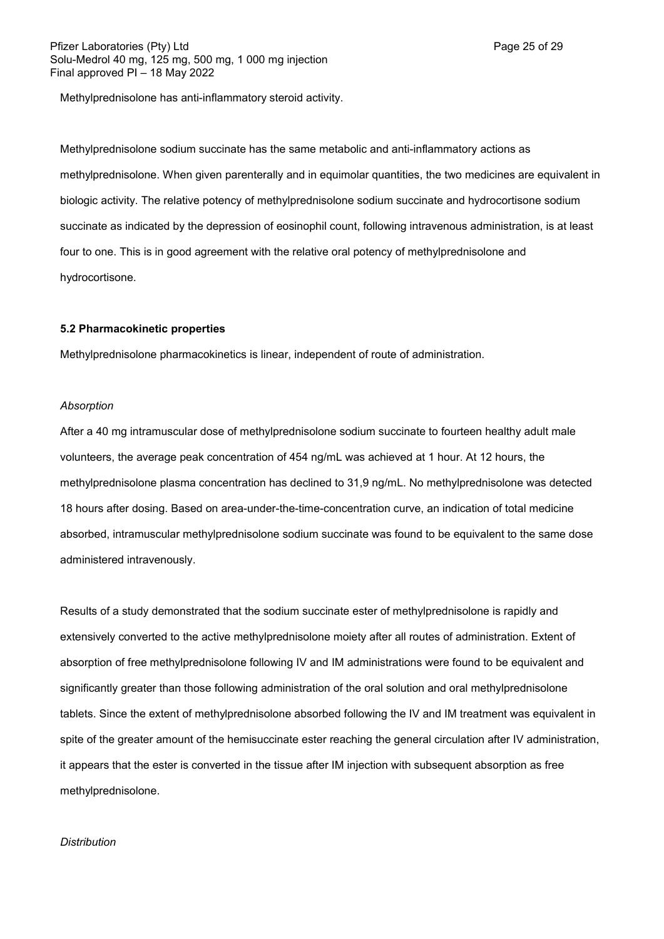Methylprednisolone has anti-inflammatory steroid activity.

Methylprednisolone sodium succinate has the same metabolic and anti-inflammatory actions as methylprednisolone. When given parenterally and in equimolar quantities, the two medicines are equivalent in biologic activity. The relative potency of methylprednisolone sodium succinate and hydrocortisone sodium succinate as indicated by the depression of eosinophil count, following intravenous administration, is at least four to one. This is in good agreement with the relative oral potency of methylprednisolone and hydrocortisone.

#### **5.2 Pharmacokinetic properties**

Methylprednisolone pharmacokinetics is linear, independent of route of administration.

#### *Absorption*

After a 40 mg intramuscular dose of methylprednisolone sodium succinate to fourteen healthy adult male volunteers, the average peak concentration of 454 ng/mL was achieved at 1 hour. At 12 hours, the methylprednisolone plasma concentration has declined to 31,9 ng/mL. No methylprednisolone was detected 18 hours after dosing. Based on area-under-the-time-concentration curve, an indication of total medicine absorbed, intramuscular methylprednisolone sodium succinate was found to be equivalent to the same dose administered intravenously.

Results of a study demonstrated that the sodium succinate ester of methylprednisolone is rapidly and extensively converted to the active methylprednisolone moiety after all routes of administration. Extent of absorption of free methylprednisolone following IV and IM administrations were found to be equivalent and significantly greater than those following administration of the oral solution and oral methylprednisolone tablets. Since the extent of methylprednisolone absorbed following the IV and IM treatment was equivalent in spite of the greater amount of the hemisuccinate ester reaching the general circulation after IV administration, it appears that the ester is converted in the tissue after IM injection with subsequent absorption as free methylprednisolone.

#### *Distribution*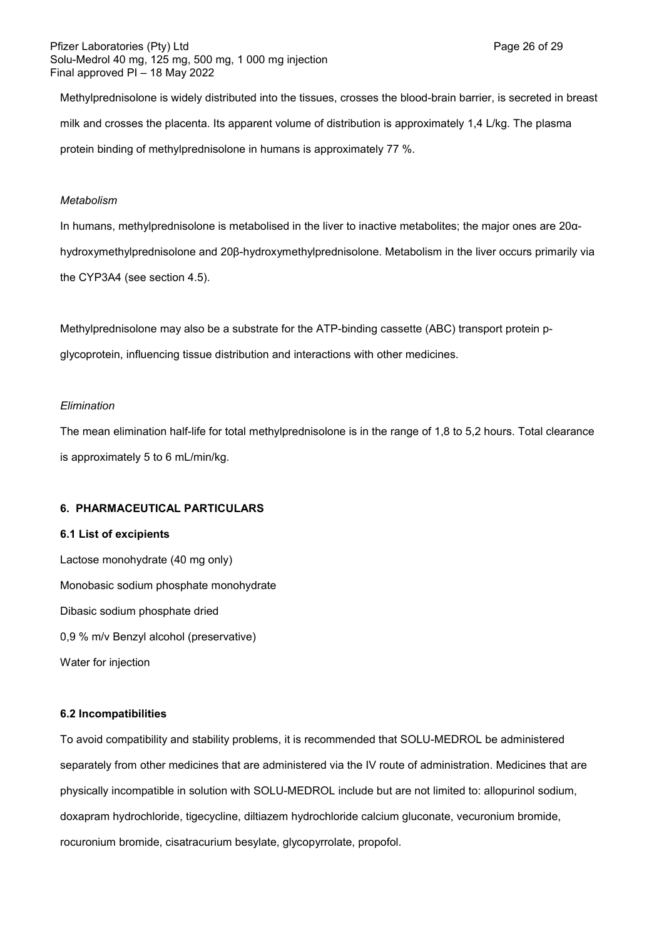Methylprednisolone is widely distributed into the tissues, crosses the blood-brain barrier, is secreted in breast milk and crosses the placenta. Its apparent volume of distribution is approximately 1,4 L/kg. The plasma protein binding of methylprednisolone in humans is approximately 77 %.

## *Metabolism*

In humans, methylprednisolone is metabolised in the liver to inactive metabolites; the major ones are 20αhydroxymethylprednisolone and 20β-hydroxymethylprednisolone. Metabolism in the liver occurs primarily via the CYP3A4 (see section 4.5).

Methylprednisolone may also be a substrate for the ATP-binding cassette (ABC) transport protein pglycoprotein, influencing tissue distribution and interactions with other medicines.

#### *Elimination*

The mean elimination half-life for total methylprednisolone is in the range of 1,8 to 5,2 hours. Total clearance is approximately 5 to 6 mL/min/kg.

### **6. PHARMACEUTICAL PARTICULARS**

#### **6.1 List of excipients**

Lactose monohydrate (40 mg only) Monobasic sodium phosphate monohydrate Dibasic sodium phosphate dried 0,9 % m/v Benzyl alcohol (preservative) Water for injection

#### **6.2 Incompatibilities**

To avoid compatibility and stability problems, it is recommended that SOLU-MEDROL be administered separately from other medicines that are administered via the IV route of administration. Medicines that are physically incompatible in solution with SOLU-MEDROL include but are not limited to: allopurinol sodium, doxapram hydrochloride, tigecycline, diltiazem hydrochloride calcium gluconate, vecuronium bromide, rocuronium bromide, cisatracurium besylate, glycopyrrolate, propofol.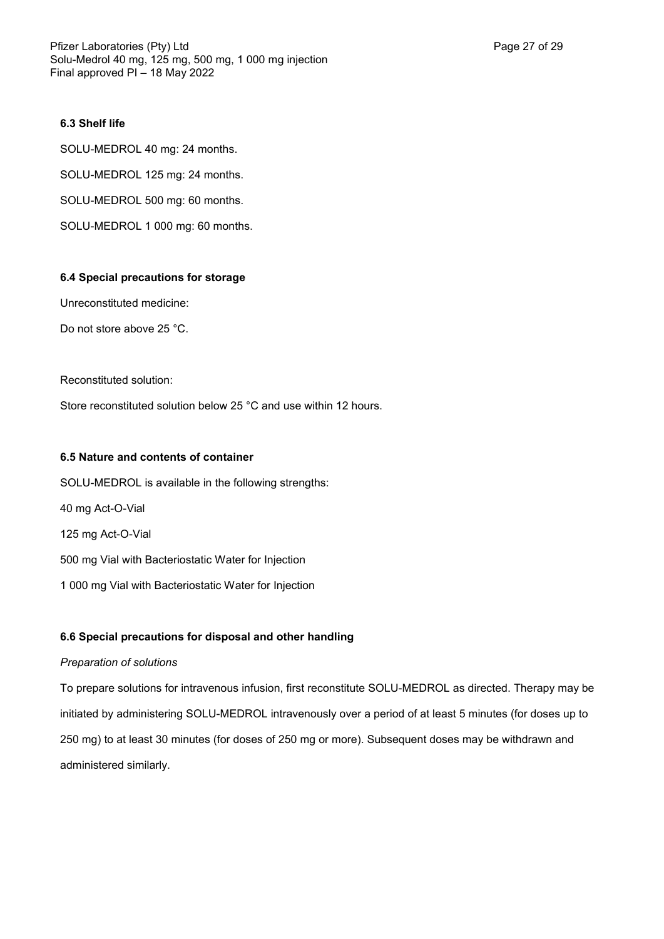# **6.3 Shelf life**

SOLU-MEDROL 40 mg: 24 months. SOLU-MEDROL 125 mg: 24 months. SOLU-MEDROL 500 mg: 60 months. SOLU-MEDROL 1 000 mg: 60 months.

## **6.4 Special precautions for storage**

Unreconstituted medicine:

Do not store above 25 °C.

Reconstituted solution:

Store reconstituted solution below 25 °C and use within 12 hours.

# **6.5 Nature and contents of container**

SOLU-MEDROL is available in the following strengths: 40 mg Act-O-Vial 125 mg Act-O-Vial 500 mg Vial with Bacteriostatic Water for Injection 1 000 mg Vial with Bacteriostatic Water for Injection

# **6.6 Special precautions for disposal and other handling**

#### *Preparation of solutions*

To prepare solutions for intravenous infusion, first reconstitute SOLU-MEDROL as directed. Therapy may be initiated by administering SOLU-MEDROL intravenously over a period of at least 5 minutes (for doses up to 250 mg) to at least 30 minutes (for doses of 250 mg or more). Subsequent doses may be withdrawn and administered similarly.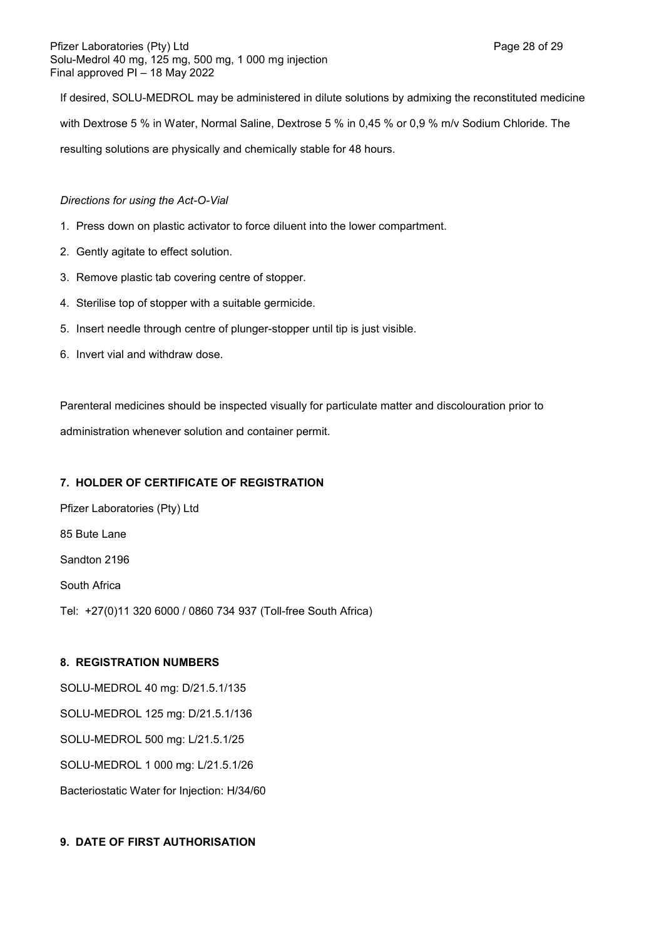If desired, SOLU-MEDROL may be administered in dilute solutions by admixing the reconstituted medicine with Dextrose 5 % in Water, Normal Saline, Dextrose 5 % in 0,45 % or 0,9 % m/v Sodium Chloride. The resulting solutions are physically and chemically stable for 48 hours.

*Directions for using the Act-O-Vial*

- 1. Press down on plastic activator to force diluent into the lower compartment.
- 2. Gently agitate to effect solution.
- 3. Remove plastic tab covering centre of stopper.
- 4. Sterilise top of stopper with a suitable germicide.
- 5. Insert needle through centre of plunger-stopper until tip is just visible.
- 6. Invert vial and withdraw dose.

Parenteral medicines should be inspected visually for particulate matter and discolouration prior to administration whenever solution and container permit.

# **7. HOLDER OF CERTIFICATE OF REGISTRATION**

Pfizer Laboratories (Pty) Ltd 85 Bute Lane Sandton 2196 South Africa Tel: +27(0)11 320 6000 / 0860 734 937 (Toll-free South Africa)

# **8. REGISTRATION NUMBERS**

SOLU-MEDROL 40 mg: D/21.5.1/135 SOLU-MEDROL 125 mg: D/21.5.1/136 SOLU-MEDROL 500 mg: L/21.5.1/25 SOLU-MEDROL 1 000 mg: L/21.5.1/26 Bacteriostatic Water for Injection: H/34/60

# **9. DATE OF FIRST AUTHORISATION**